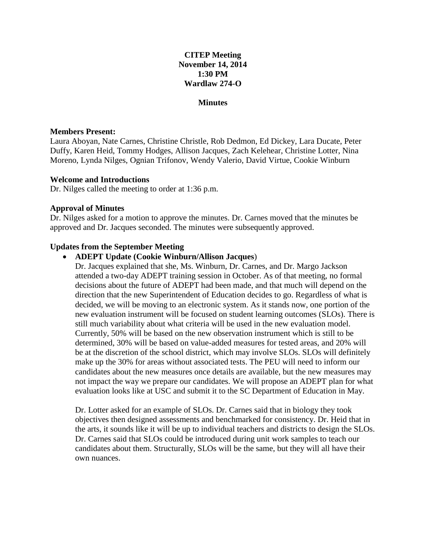# **CITEP Meeting November 14, 2014 1:30 PM Wardlaw 274-O**

### **Minutes**

### **Members Present:**

Laura Aboyan, Nate Carnes, Christine Christle, Rob Dedmon, Ed Dickey, Lara Ducate, Peter Duffy, Karen Heid, Tommy Hodges, Allison Jacques, Zach Kelehear, Christine Lotter, Nina Moreno, Lynda Nilges, Ognian Trifonov, Wendy Valerio, David Virtue, Cookie Winburn

### **Welcome and Introductions**

Dr. Nilges called the meeting to order at 1:36 p.m.

### **Approval of Minutes**

Dr. Nilges asked for a motion to approve the minutes. Dr. Carnes moved that the minutes be approved and Dr. Jacques seconded. The minutes were subsequently approved.

## **Updates from the September Meeting**

## **ADEPT Update (Cookie Winburn/Allison Jacques**)

Dr. Jacques explained that she, Ms. Winburn, Dr. Carnes, and Dr. Margo Jackson attended a two-day ADEPT training session in October. As of that meeting, no formal decisions about the future of ADEPT had been made, and that much will depend on the direction that the new Superintendent of Education decides to go. Regardless of what is decided, we will be moving to an electronic system. As it stands now, one portion of the new evaluation instrument will be focused on student learning outcomes (SLOs). There is still much variability about what criteria will be used in the new evaluation model. Currently, 50% will be based on the new observation instrument which is still to be determined, 30% will be based on value-added measures for tested areas, and 20% will be at the discretion of the school district, which may involve SLOs. SLOs will definitely make up the 30% for areas without associated tests. The PEU will need to inform our candidates about the new measures once details are available, but the new measures may not impact the way we prepare our candidates. We will propose an ADEPT plan for what evaluation looks like at USC and submit it to the SC Department of Education in May.

Dr. Lotter asked for an example of SLOs. Dr. Carnes said that in biology they took objectives then designed assessments and benchmarked for consistency. Dr. Heid that in the arts, it sounds like it will be up to individual teachers and districts to design the SLOs. Dr. Carnes said that SLOs could be introduced during unit work samples to teach our candidates about them. Structurally, SLOs will be the same, but they will all have their own nuances.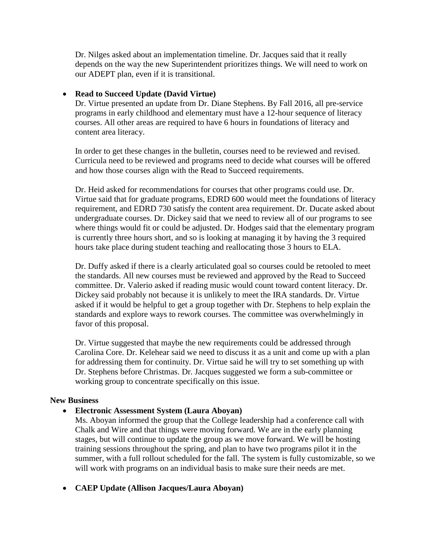Dr. Nilges asked about an implementation timeline. Dr. Jacques said that it really depends on the way the new Superintendent prioritizes things. We will need to work on our ADEPT plan, even if it is transitional.

## **Read to Succeed Update (David Virtue)**

Dr. Virtue presented an update from Dr. Diane Stephens. By Fall 2016, all pre-service programs in early childhood and elementary must have a 12-hour sequence of literacy courses. All other areas are required to have 6 hours in foundations of literacy and content area literacy.

In order to get these changes in the bulletin, courses need to be reviewed and revised. Curricula need to be reviewed and programs need to decide what courses will be offered and how those courses align with the Read to Succeed requirements.

Dr. Heid asked for recommendations for courses that other programs could use. Dr. Virtue said that for graduate programs, EDRD 600 would meet the foundations of literacy requirement, and EDRD 730 satisfy the content area requirement. Dr. Ducate asked about undergraduate courses. Dr. Dickey said that we need to review all of our programs to see where things would fit or could be adjusted. Dr. Hodges said that the elementary program is currently three hours short, and so is looking at managing it by having the 3 required hours take place during student teaching and reallocating those 3 hours to ELA.

Dr. Duffy asked if there is a clearly articulated goal so courses could be retooled to meet the standards. All new courses must be reviewed and approved by the Read to Succeed committee. Dr. Valerio asked if reading music would count toward content literacy. Dr. Dickey said probably not because it is unlikely to meet the IRA standards. Dr. Virtue asked if it would be helpful to get a group together with Dr. Stephens to help explain the standards and explore ways to rework courses. The committee was overwhelmingly in favor of this proposal.

Dr. Virtue suggested that maybe the new requirements could be addressed through Carolina Core. Dr. Kelehear said we need to discuss it as a unit and come up with a plan for addressing them for continuity. Dr. Virtue said he will try to set something up with Dr. Stephens before Christmas. Dr. Jacques suggested we form a sub-committee or working group to concentrate specifically on this issue.

## **New Business**

# **Electronic Assessment System (Laura Aboyan)**

Ms. Aboyan informed the group that the College leadership had a conference call with Chalk and Wire and that things were moving forward. We are in the early planning stages, but will continue to update the group as we move forward. We will be hosting training sessions throughout the spring, and plan to have two programs pilot it in the summer, with a full rollout scheduled for the fall. The system is fully customizable, so we will work with programs on an individual basis to make sure their needs are met.

# **CAEP Update (Allison Jacques/Laura Aboyan)**